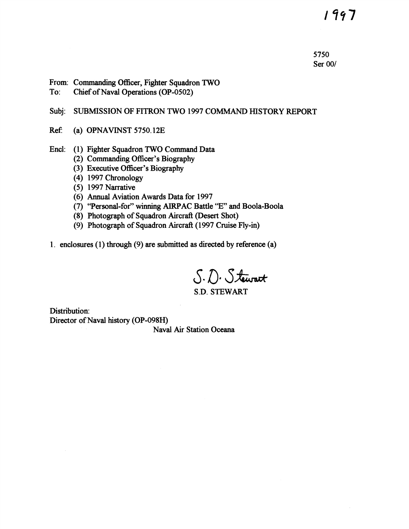1997

5750 Ser 00/

- From: Commanding Officer, Fighter Squadron TWO
- To: Chief of Naval Operations (OP-0502)

## Subj: SUBMISSION OF FITRON TWO 1997 COMMAND HISTORY REPORT

- Ref: (a) OPNAVINST 5750.12E
- Encl: (1) Fighter Squadron TWO Command Data
	- (2) Commanding Officer's Biography
	- (3) Executive Officer's Biography
	- (4) 1997 Chronology
	- (5) 1997 Narrative
	- (6) Annual Aviation Awards Data for 1997
	- (7) ''Personal-for" winning AIRPAC Battle "E" and Boola-Boola
	- (8) Photograph of Squadron Aircraft (Desert Shot)
	- (9) Photograph of Squadron Aircraft (1997 Cruise Fly-in)
- 1. enclosures (1) through (9) are submitted as directed by reference (a)

S. D. Stewart S.D. STEWART

Distribution: Director of Naval history (OP-098H)

Naval Air Station Oceana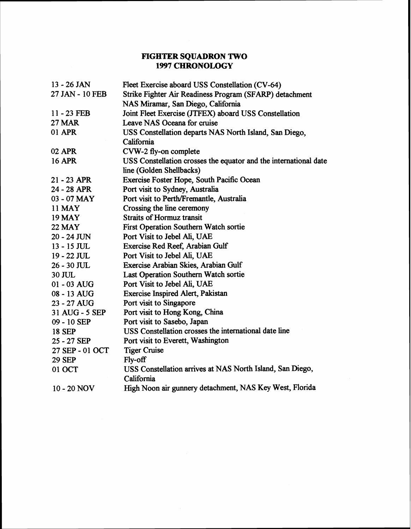# **FIGHTER SQUADRON TWO 1997 CHRONOLOGY**

| 13 - 26 JAN     | Fleet Exercise aboard USS Constellation (CV-64)                  |  |  |
|-----------------|------------------------------------------------------------------|--|--|
| 27 JAN - 10 FEB | Strike Fighter Air Readiness Program (SFARP) detachment          |  |  |
|                 | NAS Miramar, San Diego, California                               |  |  |
| 11 - 23 FEB     | Joint Fleet Exercise (JTFEX) aboard USS Constellation            |  |  |
| <b>27 MAR</b>   | Leave NAS Oceana for cruise                                      |  |  |
| 01 APR          | USS Constellation departs NAS North Island, San Diego,           |  |  |
|                 | California                                                       |  |  |
| 02 APR          | CVW-2 fly-on complete                                            |  |  |
| <b>16 APR</b>   | USS Constellation crosses the equator and the international date |  |  |
|                 | line (Golden Shellbacks)                                         |  |  |
| 21 - 23 APR     | Exercise Foster Hope, South Pacific Ocean                        |  |  |
| 24 - 28 APR     | Port visit to Sydney, Australia                                  |  |  |
| 03 - 07 MAY     | Port visit to Perth/Fremantle, Australia                         |  |  |
| 11 <b>MAY</b>   | Crossing the line ceremony                                       |  |  |
| <b>19 MAY</b>   | <b>Straits of Hormuz transit</b>                                 |  |  |
| <b>22 MAY</b>   | <b>First Operation Southern Watch sortie</b>                     |  |  |
| $20 - 24$ JUN   | Port Visit to Jebel Ali, UAE                                     |  |  |
| $13 - 15$ JUL   | Exercise Red Reef, Arabian Gulf                                  |  |  |
| 19 - 22 JUL     | Port Visit to Jebel Ali, UAE                                     |  |  |
| $26 - 30$ JUL   | Exercise Arabian Skies, Arabian Gulf                             |  |  |
| 30 JUL          | Last Operation Southern Watch sortie                             |  |  |
| 01 - 03 AUG     | Port Visit to Jebel Ali, UAE                                     |  |  |
| 08 - 13 AUG     | <b>Exercise Inspired Alert, Pakistan</b>                         |  |  |
| 23 - 27 AUG     | Port visit to Singapore                                          |  |  |
| 31 AUG - 5 SEP  | Port visit to Hong Kong, China                                   |  |  |
| 09 - 10 SEP     | Port visit to Sasebo, Japan                                      |  |  |
| <b>18 SEP</b>   | USS Constellation crosses the international date line            |  |  |
| 25 - 27 SEP     | Port visit to Everett, Washington                                |  |  |
| 27 SEP - 01 OCT | <b>Tiger Cruise</b>                                              |  |  |
| <b>29 SEP</b>   | Fly-off                                                          |  |  |
| 01 OCT          | USS Constellation arrives at NAS North Island, San Diego,        |  |  |
|                 | California                                                       |  |  |
| 10 - 20 NOV     | High Noon air gunnery detachment, NAS Key West, Florida          |  |  |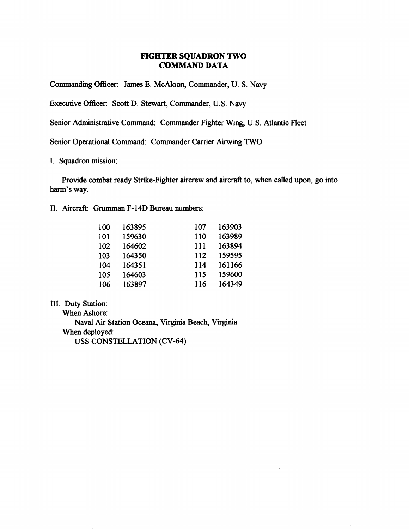## **FIGHTER SQUADRON TWO COMMAND DATA**

Commanding Officer: James E. McAloon, Commander, U. S. Navy

Executive Officer: Scott D. Stewart, Commander, U.S. Navy

Senior Administrative Command: Commander Fighter Wing, U. S. Atlantic Fleet

Senior Operational Command: Commander Carrier **Aiming** TWO

I. Squadron mission:

Provide combat ready Strike-Fighter aircrew and aircraft to, when called upon, go into harm's way.

**II.** Aircraft: **Grurnman** F- 14D Bureau numbers:

| 100 | 163895 | 107 | 163903 |
|-----|--------|-----|--------|
| 101 | 159630 | 110 | 163989 |
| 102 | 164602 | 111 | 163894 |
| 103 | 164350 | 112 | 159595 |
| 104 | 164351 | 114 | 161166 |
| 105 | 164603 | 115 | 159600 |
| 106 | 163897 | 116 | 164349 |

**III.** Duty Station:

When Ashore: Naval Air Station Oceana, Virginia Beach, Virginia When deployed: USS CONSTELLATION (CV-64)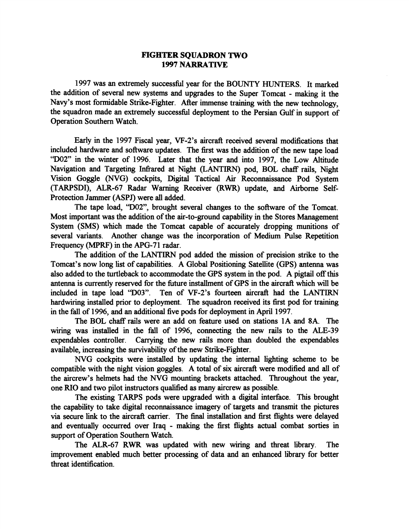#### **FIGHTER SQUADRON TWO 1997 NARRATIVE**

1997 was an extremely successful year for the BOUNTY HUNTERS. It marked the addition of several new systems and upgrades to the Super Tomcat - making it the Navy's most formidable Strike-Fighter. ARer immense training with the new technology, the squadron made an extremely successfil deployment to the Persian **Gulf** in support of Operation Southern Watch.

Early in the 1997 Fiscal year, VF-2's aircraft received several modifications that included hardware and software updates. The first was the addition of the new tape load **"D02"** in the winter of 1996. Later that the year and into 1997, the Low Altitude Navigation and Targeting **Infiared** at Night **(LANTTRN)** pod, BOL chaff rails, Night Vision Goggle (NVG) cockpits, Digital Tactical Air Reconnaissance Pod System (TARPSDI), ALR-67 Radar Warning Receiver **(RWR)** update, and Airborne Self-Protection Jammer (ASPJ) were all added.

The tape load, **'D02",** brought several changes to the software of the Tomcat. Most important was the addition of the air-to-ground capability in the Stores Management System (SMS) which made the Tomcat capable of accurately dropping munitions of several variants. Another change was the incorporation of Medium Pulse Repetition Frequency **(MPRF)** in the APG-71 radar.

The addition of the LANTIRN pod added the mission of precision strike to the Tomcat's now long list of capabilities. A Global Positioning Satellite (GPS) antenna was also added to the turtleback to accommodate the GPS system in the pod. A pigtail off this antenna is currently reserved for the future installment of GPS in the aircraft which will be included in tape load "D03". Ten of VF-2's fourteen aircraft had the LANTIRN hardwiring installed prior to deployment. The squadron received its first pod for training in the fall of 1996, and an additional five pods for deployment in April 1997.

The BOL chaff rails were an add on feature used on stations 1A and 8A. The wiring was installed in the fall of 1996, connecting the new rails to the ALE-39 expendables controller. Carrying the new rails more than doubled the expendables available, increasing the survivability of the new Strike-Fighter.

NVG cockpits were installed by updating the internal lighting scheme to be compatible with the night vision goggles. A total of six aircraft were modified and all of the aircrew's helmets had the NVG mounting brackets attached. Throughout the year, one RIO and two pilot instructors qualified as many aircrew as possible.

The existing TARPS pods were upgraded with a digital interface. This brought the capability to take digital reconnaissance imagery of targets and transmit the pictures via secure link to the aircraft carrier. The final installation and first flights were delayed and eventually occurred over Iraq - making the first flights actual combat sorties in support of Operation Southern Watch.

The ALR-67 RWR was updated with new wiring and threat **library.** The improvement enabled much better processing of data and an enhanced library for better threat identification.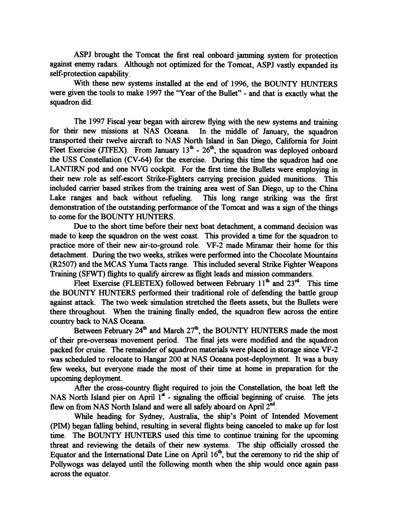ASPJ brought the Tomcat the first real onboard jamming system for protection against enemy radars. Although not optimized for the Tomcat, ASPJ vastly expanded its self-protection capability.

With these new systems installed at the end of 1996, the BOUNTY HUNTERS were given the tools to make 1997 the 'Year of the Bullet" - and that is exactly what the squadron did.

The 1997 Fiscal year began with aircrew flying with the new systems and training for their new missions at NAS Oceana. In the middle of January, the squadron transported their twelve **aircraft** to NAS North Island in San Diego, California for Joint Fleet Exercise (JTFEX). From January  $13<sup>th</sup>$  -  $26<sup>th</sup>$ , the squadron was deployed onboard the USS Constellation (CV-64) for the exercise. During this time the squadron had one LANTIRN pod and one *NVG* cockpit. For the first time the Bullets were employing in their new role as self-escort Strike-Fighters carrying precision guided munitions. This included carrier based strikes from the training area west of San Diego, up to the China Lake ranges and back without refieling. This long range striking was the first demonstration of the outstanding performance of the Tomcat and was a sign of the things to come for the BOUNTY HUNTERS.

Due to the short time before their next boat detachment, a command decision was made to keep the squadron on the west coast. This provided a time for the squadron to practice more of their new air-to-ground role. VF-2 made Mirarnar their home for this detachment. During the two weeks, strikes were performed into the Chocolate Mountains (R2507) and the MCAS Yuma Tacts range. This included several Strike Fighter Weapons Training (SFWT) flights to qualify aircrew as flight leads and mission commanders.

Fleet Exercise (FLEETEX) followed between February  $11<sup>th</sup>$  and  $23<sup>rd</sup>$ . This time the BOUNTY HUNTERS performed their traditional role of defending the battle group against attack. The two week simulation stretched the fleets assets, but the Bullets were there throughout. When the training finally ended, the squadron flew across the entire country back to NAS Oceana.

Between February  $24^{\text{th}}$  and March  $27^{\text{th}}$ , the BOUNTY HUNTERS made the most of their pre-overseas movement period. The final jets were modified and the squadron packed for cruise. The remainder of squadron materials were placed in storage since VF-2 was scheduled to relocate to Hangar 200 at NAS Oceana post-deployment. It was a busy few weeks, but everyone made the most of their time at home in preparation for the upcoming deployment.

After the cross-countty flight required to join the Constellation, the boat left the NAS North Island pier on April  $1<sup>st</sup>$  - signaling the official beginning of cruise. The jets flew on from NAS North Island and were all safely aboard on April 2<sup>nd</sup>.

While heading for Sydney, Australia, the ship's Point of Intended Movement (PIM) began falling behind, resulting in several flights being canceled to make up for lost time. The BOUNTY HUNTERS used this time to continue training for the upcoming threat and reviewing the details of their new systems. The ship officially crossed the Equator and the International Date Line on April  $16<sup>th</sup>$ , but the ceremony to rid the ship of Pollywogs was delayed until the following month when the ship would once again pass across the equator.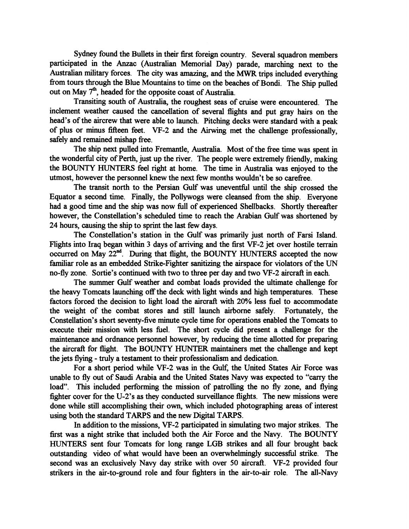Sydney found the Bullets in their first foreign country. Several squadron members participated in the Anzac (Australian Memorial Day) parade, marching next to the Australian military forces. The city was amazing, and the **MWR** trips included everything fiom tours through the Blue Mountains to time on the beaches of Bondi. The Ship pulled out on May 7<sup>th</sup>, headed for the opposite coast of Australia.

Transiting south of Australia, the roughest seas of cruise were encountered. The inclement weather caused the cancellation of several flights and put gray hairs on the head's of the aircrew that were able to launch. Pitching decks were standard with a peak of plus or minus fifteen feet. VF-2 and the Airwing met the challenge professionally, safely and remained mishap fiee.

The ship next pulled into Fremantle, Australia. Most of the fiee time was spent in the wondefil city of Perth, just up the river. The people were extremely friendly, making the BOUNTY HUNTERS feel right at home. The time in Australia was enjoyed to the utmost, however the personnel knew the next few months wouldn't be so carefiee.

The transit north to the Persian Gulf was uneventful until the ship crossed the Equator a second time. Finally, the Pollywogs were cleansed fiom the ship. Everyone had a good time and the ship was now full of experienced Shellbacks. Shortly thereafter however, the Constellation's scheduled time to reach the Arabian Gulf was shortened by 24 hours, causing the ship to sprint the last few days.

The Constellation's station in the **Gulf** was primarily just north of Farsi Island. Flights into Iraq began within 3 days of arriving and the first VF-2 jet over hostile terrain occurred on May  $22^{nd}$ . During that flight, the BOUNTY HUNTERS accepted the now familiar role as an embedded Strike-Fighter sanitizing the airspace for violators of the **UN**  no-fly zone. Sortie's continued with two to three per day and two VF-2 aircraft in each.

The summer Gulf weather and combat loads provided the ultimate challenge for the heavy Tomcats launching off the deck with light winds and high temperatures. These factors forced the decision to light load the aircraft with 20% less fuel to accommodate the weight of the combat stores and still launch airborne safely. Fortunately, the Constellation's short seventy-five minute cycle time for operations enabled the Tomcats to execute their mission with less fiel. The short cycle did present a challenge for the maintenance and ordnance personnel however, by reducing the time allotted for preparing the aircraft for flight. The BOUNTY HUNTER maintainers met the challenge and kept the jets flying - truly a testament to their professionalism and dedication.

For a short period while VF-2 was in the **Gulf,** the United States Air Force was unable to fly out of Saudi Arabia and the United States Navy was expected to ''carry the load". This included performing the mission of patrolling the no fly zone, and flying fighter cover for the U-2's as they conducted surveillance flights. The new missions were done while still accomplishing their own, which included photographing areas of interest using both the standard TARPS and the new Digital TARPS.

In addition to the missions, VF-2 participated in simulating two major strikes. The first was a night strike that included both the Air Force and the Navy. The BOUNTY HUNTERS sent four Tomcats for long range LGB strikes and all four brought back outstanding video of what would have been an overwhelmingly successfid strike. The second was an exclusively Navy day strike with over 50 aircraft. VF-2 provided four strikers in the air-to-ground role and four fighters in the air-to-air role. The all-Navy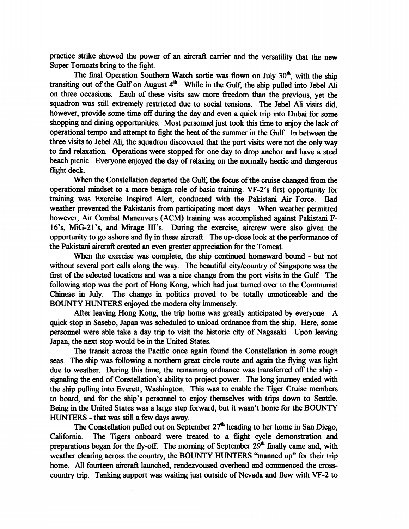practice strike showed the power of an aircraft carrier and the versatility that the new Super Tomcats bring to the fight.

The final Operation Southern Watch sortie was flown on July 30<sup>th</sup>, with the ship transiting out of the Gulf on August 4<sup>th</sup>. While in the Gulf, the ship pulled into Jebel Ali on three occasions. Each of these visits saw more freedom than the previous, yet the squadron was still extremely restricted due to social tensions. The Jebel **Ali** visits did, however, provide some time off during the day and even a quick trip into Dubai for some shopping and dining opportunities. Most personnel just took this time to enjoy the lack of operational tempo and attempt to fight the heat of the summer in the Gulf. In between the three visits to Jebel **Ali,** the squadron discovered that the port visits were not the only way to find relaxation. Operations were stopped for one day to drop anchor and have a steel beach picnic. Everyone enjoyed the day of relaxing on the normally hectic and dangerous flight deck.

When the Constellation departed the **Gulf,** the focus of the cruise changed from the operational mindset to a more benign role of basic training. VF-2's first opportunity for training was Exercise Inspired Alert, conducted with the Pakistani Air Force. **Bad**  weather prevented the Pakistanis from participating most days. When weather permitted however, Air Combat Maneuvers (ACM) training was accomplished against Pakistani F-16's, MiG-2lYs, and Mirage II17s. During the exercise, aircrew were also given the opportunity to go ashore and fly in these aircraft. The up-close look at the performance of the Pakistani aircraft created an even greater appreciation for the Tomcat.

**When** the exercise was complete, the ship continued homeward bound - but not without several port calls along the way. The beautiful city/country of Singapore was the first of the selected locations and was a nice change from the port visits in the Gulf. The following stop was the port of Hong Kong, which had just turned over to the Communist Chinese in July. The change in politics proved to be totally unnoticeable and the **BOUNTY** HUNTERS enjoyed the modern city immensely.

After leaving Hong Kong, the trip home was greatly anticipated by everyone. A quick stop in Sasebo, Japan was scheduled to unload ordnance from the ship. Here, some personnel were able take a day trip to visit the historic city of Nagasaki. Upon leaving Japan, the next stop would be in the United States.

The transit across the Pacific once again found the Constellation in some rough seas. The ship was following a northern great circle route and again the flying was light due to weather. During this time, the remaining ordnance was transferred off the ship signaling the end of Constellation's ability to project power. The long journey ended with the ship pulling into Everett, Washington. This was to enable the Tiger Cruise members to board, and for the ship's personnel to enjoy themselves with trips down to Seattle. Being in the United States was a large step forward, but it wasn't home for the **BOUNTY HUNTERS** - that was still a few days away.

The Constellation pulled out on September  $27<sup>th</sup>$  heading to her home in San Diego, California. The Tigers onboard were treated to a flight cycle demonstration and preparations began for the fly-off. The morning of September  $29<sup>th</sup>$  finally came and, with weather clearing across the country, the BOUNTY **HUNTERS** "manned up" for their trip home. **All** fourteen aircraft launched, rendezvoused overhead and commenced the crosscountry trip. Tanking support was waiting just outside of Nevada and flew with VF-2 to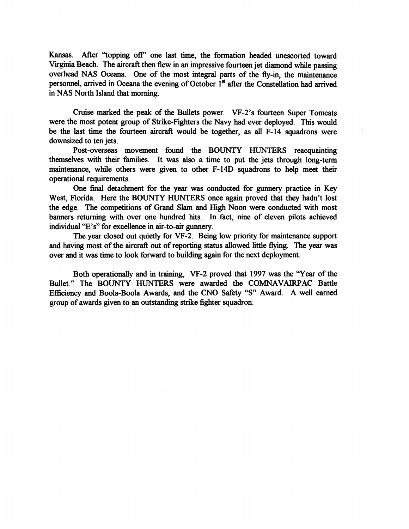Kansas. After "topping off' one last time, the formation headed unescorted toward Virginia Beach. The aircraft then flew in an impressive fourteen jet diamond while passing overhead NAS Oceana. One of the most integral parts of the fly-in, the maintenance personnel, arrived in Oceana the evening of October **1"** after the Constellation had arrived in NAS North Island that morning.

Cruise marked the peak of the Bullets power. VF-2's fourteen Super Tomcats were the most potent group of Strike-Fighters the Navy had ever deployed. This would be the last time the fourteen aircraft would be together, as all F-14 squadrons were downsized to ten jets.

Post-overseas movement found the BOUNTY HUNTERS reacquainting themselves with their families. It was also a time to put the jets through long-term maintenance, while others were given to other F-14D squadrons to help meet their operational requirements.

One final detachment for the year was conducted for **gunnery** practice in Key West, Florida. Here the BOUNTY HUNTERS once again proved that they hadn't lost the edge. The competitions of Grand Slam and High Noon were conducted with most banners retuming with over one hundred hits. In fact, nine of eleven pilots achieved individual 'E's" for excellence in air-to-air **gunnery.** 

The year closed out quietly for VF-2. Being low priority for maintenance support and having most of the aircraft out of reporting status allowed little flying. The year was over and it was time to look forward to building again for the next deployment.

Both operationally and in training, VF-2 proved that 1997 was the "Year of the Bullet." The BOUNTY HUNTERS were awarded the COMNAVAlRPAC Battle Efficiency and Boola-Boola Awards, and the CNO Safety **"S"** Award. A well earned group of awards given to an outstanding strike fighter squadron.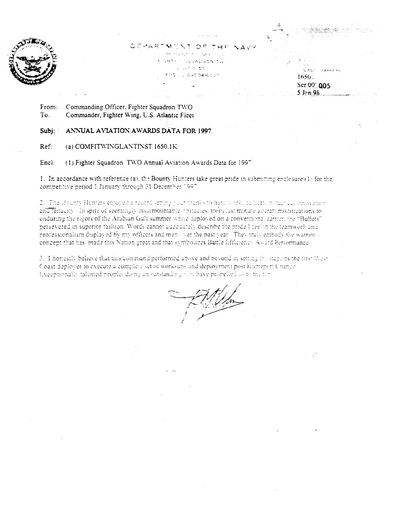

 $DEDPARTMUNTOE, THT-NAV$ - . . , . . . - , -. ,I **<sup>I</sup>** , ,.--: . . - ,,..:.<:'. .. :.. , ,,- .I **r:** - - **P:.:** . **:.\*:-;a-<::** :,.

Ser 00: 005  $5$  Jan 98

ें नही  $1650.$ 

From: To. Commanding Officer. Fighter Squadron TWO Commander, F~ghter **U'lng. U.S. Atlantic Fiecr** 

**Subj: ANNUAL AVIATION AWARDS DATA FOR 1997** 

Ref: (a) **COMFITWINGLANTINST 1650.1K** 

Encl: **c (1)** Fighter Squadron TWO Annual Aviation Awards Data for 1997

1. In accordance with reference (a), the Bounty Hunters take great pride in submitting enclosure (1) for the competitive period 1 January through 31 December 1997

2. The Bounty Hunters enjoyed a record setting your thanks to hard work, dedication, tuctical innovation, and tenacity. In spite of seemingly insurmountable obstacles, from last minute aircraft modifications to enduring the rigors of the Arabian Gulf summer while deployed on a conventional carrier, the "Bullets" persevered in superior fashion. Words cannot advaluately describe the pride I feel in the teamwork and professionalism displayed by my officers and men wer the past year. They truly embody the warrior concept that has 'made this Nation great and that symbolizes Battle Efficiency Award Performance.

.<br>3. I honestly believe that this command performed above and beyond in setting the stage as the firs<sup>,</sup> West Coast deployer to execute a complete set of work-ups and deployment post Homenort Change Exceptionally talented people, doing an outstanding wh, have propelled us to the ten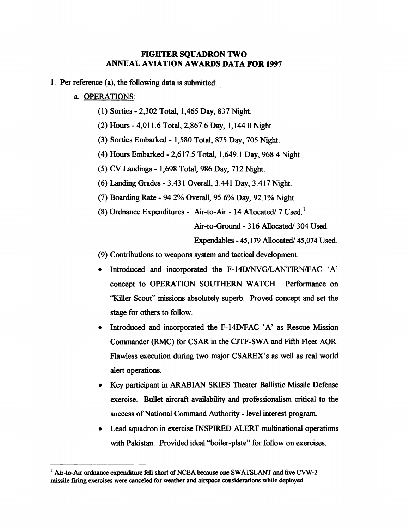## **FIGHTER SQUADRON TWO ANNUAL AVIATION AWARDS DATA FOR 1997**

1. Per reference (a), the following data is submitted:

#### a. OPERATIONS:

- (1) Sorties 2,302 Total, 1,465 Day, 837 Night.
- (2) Hours 4,011.6 Total, 2,867.6 Day, 1,144.0 Night.
- (3) Sorties Embarked 1,580 Total, 875 Day, 705 Night.
- (4) Hours Embarked 2,617.5 Total, 1,649.1 Day, 968.4 Night.
- (5) CV Landings 1,698 Total, 986 Day, 7 12 Night.
- (6) Landing Grades 3.43 1 Overall, 3.441 Day, 3.417 Night.
- (7) Boarding Rate 94.2% Overall, 95.6% Day, 92.1% Night.
- (8) Ordnance Expenditures Air-to-Air 14 Allocated  $/7$  Used.<sup>1</sup>

Air-to-Ground - 316 Allocated/ 304 Used.

Expendables - 45,179 Allocated/ 45,074 Used.

(9) Contributions to weapons system and tactical development.

- Introduced and incorporated the F-14D/NVG/LANTIRN/FAC 'A' concept to OPERATION SOUTHERN WATCH. Performance on "Killer Scout" missions absolutely superb. Proved concept and set the stage for others to follow.
- Introduced and incorporated the F-14D/FAC 'A' as Rescue Mission Commander (RMC) for CSAR in the CJTF-SWA and Fifth Fleet AOR. Flawless execution during two major CSAREX's as well as real world alert operations.
- Key participant in ARABIAN SKIES Theater Ballistic Missile Defense exercise. Bullet aircraft availability and professionalism critical to the success of National Command Authority - level interest program.
- Lead squadron in exercise INSPIRED ALERT multinational operations with Pakistan. Provided ideal "boiler-plate" for follow on exercises.

**Air-to-Air ordnance expenditure fell short of NCEA because one SWATSLANT and five CVW-2 missile firing exercises were canceled for weather and airspace considerations while deployed**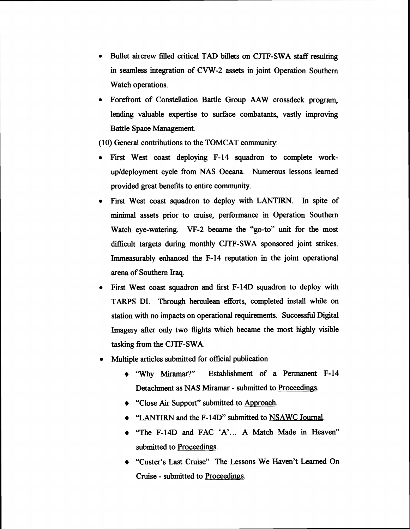- Bullet aircrew filled critical TAD billets on CJTF-SWA staff resulting in seamless integration of CVW-2 assets in joint Operation Southern Watch operations.
- Forefront of Constellation Battle Group **AAW** crossdeck program, lending valuable expertise to surface combatants, vastly improving Battle Space Management.

(10) General contributions to the TOMCAT community:

- First West coast deploying F-14 squadron to complete workupldeployrnent cycle fiom NAS Oceana. Numerous lessons learned provided great benefits to entire community.
- First West coast squadron to deploy with LANTIRN. In spite of minimal assets prior to cruise, performance in Operation Southern Watch eye-watering. VF-2 became the "go-to" unit for the most difficult targets during monthly CJTF-SWA sponsored joint strikes. Immeasurably **enhanced** the F-14 reputation in the joint operational arena of Southern Iraq.
- First West **coast** squadron and first F-14D squadron to deploy with TARPS DI. Through herculean efforts, completed install while on station with no impacts on operational requirements. Successful Digital Imagery after only two flights which became the most highly visible tasking fiom the CJTF-SWA.
- **Multiple articles submitted for official publication** 
	- + 'Why **Miramat?"** Establishment of a Permanent F-14 Detachment as NAS Miramar - submitted to Proceedings.
	- ◆ "Close Air Support" submitted to Approach.
	- ◆ 'LANTIRN and the F-14D" submitted to NSAWC Journal.
	- + "The F-14D and FAC 'A'. . . A Match Made in Heaven" submitted to Proceedings.
	- "Custer's Last Cruise" The Lessons We Haven't Learned On Cruise - submitted to Proceedings.